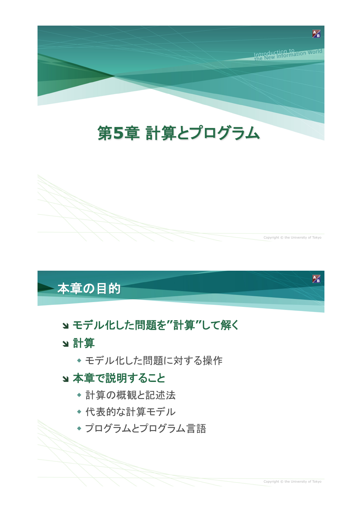

# 第5章 計算とプログラム



## 本章の目的

## ョモデル化した問題を"計算"して解く

- 3 計算
	- ◆ モデル化した問題に対する操作

#### ョ本章で説明すること

- ◆ 計算の概観と記述法
- ◆ 代表的な計算モデル
- ◆ プログラムとプログラム言語

 $\mathcal{P}_{\mathbf{B}}$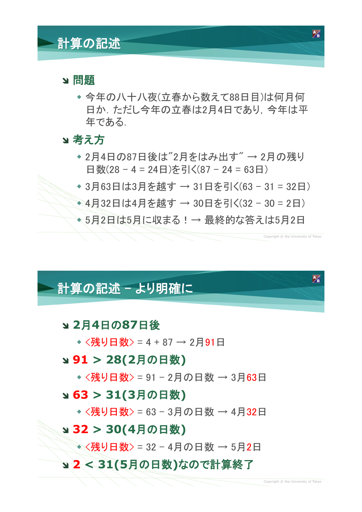## 計算の記述

#### 3 問題

◆ 今年の八十八夜(立春から数えて88日目)は何月何 日か、ただし今年の立春は2月4日であり、今年は平 年である.

#### 3 考え方

- ◆2月4日の87日後は"2月をはみ出す" → 2月の残り 日数 $(28 - 4 = 24 \text{H})$ を引く $(87 - 24 = 63 \text{H})$
- ◆3月63日は3月を越す → 31日を引く(63-31=32日)
- →4月32日は4月を越す → 30日を引く(32 30 = 2日)
- ◆5月2日は5月に収まる!→ 最終的な答えは5月2日

## 計算の記述 - より明確に

#### ! **2**>**4**9»**87**9,

◆  $\langle$ 残り日数> = 4 + 87 → 2月91日

#### **ッ91 > 28(2月の日数)**

•<残り日数> = 91 - 2月の日数 → 3月63日

#### **y 63 > 31(3月の日数)**

•<残り日数> = 63 - 3月の日数 → 4月32日

#### **y 32 > 30(4月の日数)**

•<残り日数> = 32 - 4月の日数 → 5月2日

#### a 2<31(5月の日数)なので計算終了

Copyright © the University of Tokyo

 $\mathbb{Z}$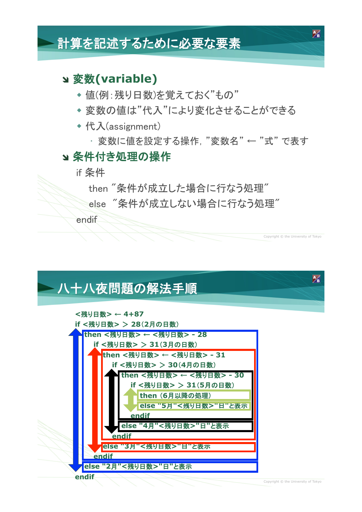## 計算を記述するために必要な要素

#### a 変数(variable)

- ◆ 値(例: 残り日数)を覚えておく"もの"
- ◆ 変数の値は"代入"により変化させることができる
- ◆代入(assignment)
	- ・変数に値を設定する操作. "変数名" ← "式" で表す

#### 3 条件付き処理の操作

if 条件

then "条件が成立した場合に行なう処理"

else "条件が成立しない場合に行なう処理"

endif

## 八十八夜問題の解法手順



Convright © the University of Tokyo

 $\mathbb{Z}$ 

 $\mathcal{F}_{\mathbf{B}}$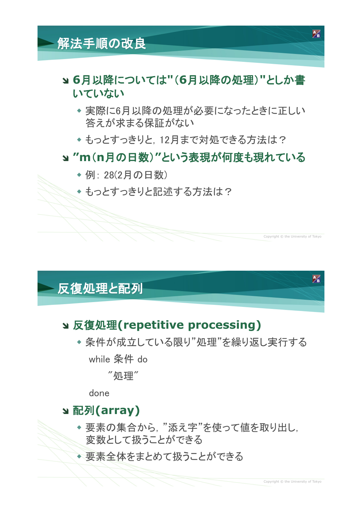## 解法手順の改良

#### ョ6月以降については"(6月以降の処理)"としか書 いていない

- ◆実際に6月以降の処理が必要になったときに正しい 答えが求まる保証がない
- ◆もっとすっきりと、12月まで対処できる方法は?

#### a "m(n月の日数)"という表現が何度も現れている

- ◆ 例: 28(2月の日数)
- ◆もっとすっきりと記述する方法は?

### 反復処理と配列

◆ 条件が成立している限り"処理"を繰り返し実行する while 条件 do

"処理"

done

### **y** 配列(array)

- ◆要素の集合から, "添え字"を使って値を取り出し, 変数として扱うことができる
- ◆ 要素全体をまとめて扱うことができる

Convright © the University of Tokyo

 $\mathbb{Z}$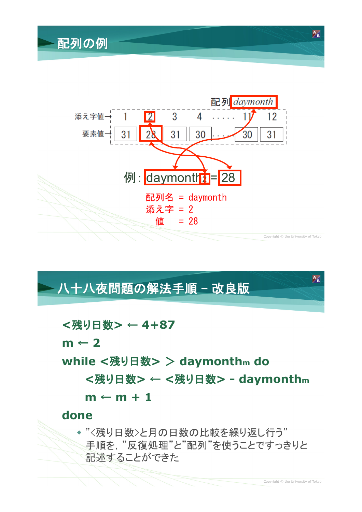配列の例



ハ十八夜問題の解法手順 - 改良版

<残り日数>← 4+87

 $m \leftarrow 2$ 

while <残り日数> > daymonthm do

<残り日数> ← <残り日数> - daymonthm

 $m \leftarrow m + 1$ 

#### done

◆ "<残り日数>と月の日数の比較を繰り返し行う" 手順を,"反復処理"と"配列"を使うことですっきりと 記述することができた

 $\mathbb{Z}$ 

 $\mathbb{Z}$ 

Copyright © the University of Tokyo